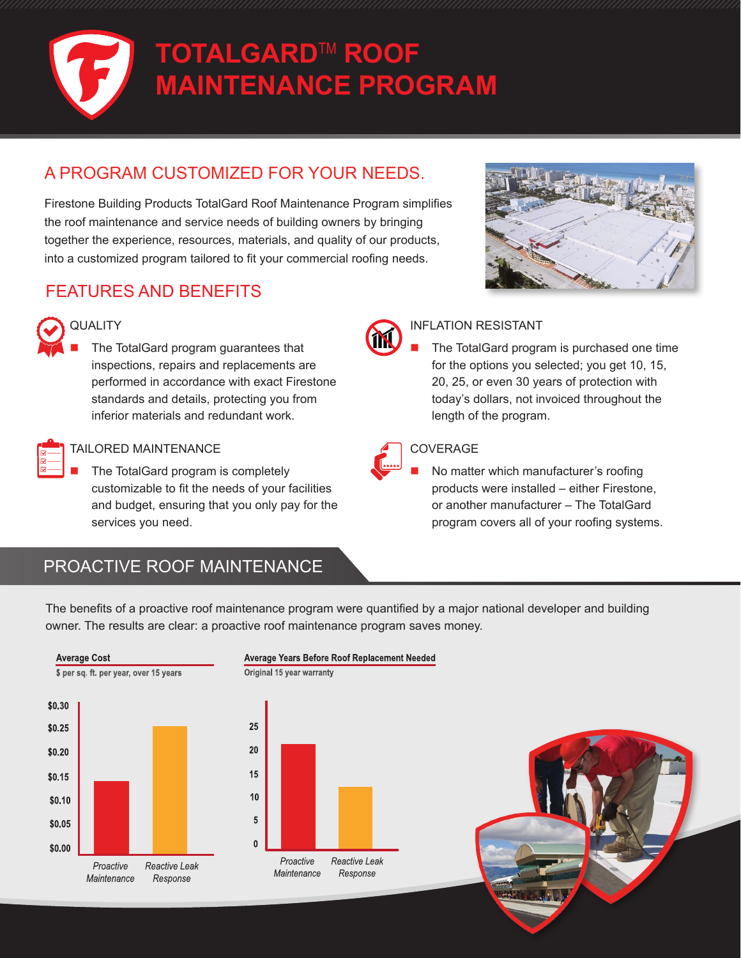

### A PROGRAM CUSTOMIZED FOR YOUR NEEDS.

Firestone Building Products TotalGard Roof Maintenance Program simplifies the roof maintenance and service needs of building owners by bringing together the experience, resources, materials, and quality of our products, into a customized program tailored to fit your commercial roofing needs.







### **QUALITY**

 The TotalGard program guarantees that inspections, repairs and replacements are performed in accordance with exact Firestone standards and details, protecting you from inferior materials and redundant work.



#### TAILORED MAINTENANCE

 The TotalGard program is completely customizable to fit the needs of your facilities and budget, ensuring that you only pay for the services you need.



#### INFLATION RESISTANT

 The TotalGard program is purchased one time for the options you selected; you get 10, 15, 20, 25, or even 30 years of protection with today's dollars, not invoiced throughout the length of the program.



#### COVERAGE

 No matter which manufacturer's roofing products were installed – either Firestone, or another manufacturer – The TotalGard program covers all of your roofing systems.

## PROACTIVE ROOF MAINTENANCE

The benefits of a proactive roof maintenance program were quantified by a major national developer and building owner. The results are clear: a proactive roof maintenance program saves money.



#### Average Years Before Roof Replacement Needed